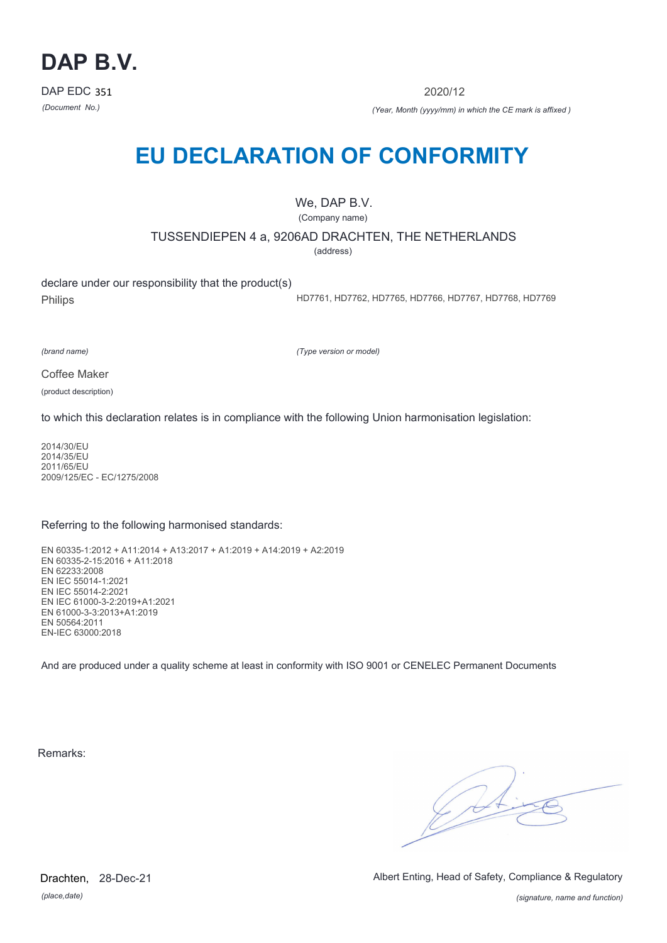

2020/12

*(Document No.) (Year, Month (yyyy/mm) in which the CE mark is affixed )*

# **EU DECLARATION OF CONFORMITY**

We, DAP B.V.

(Company name)

TUSSENDIEPEN 4 a, 9206AD DRACHTEN, THE NETHERLANDS

(address)

declare under our responsibility that the product(s) Philips

HD7761, HD7762, HD7765, HD7766, HD7767, HD7768, HD7769

*(brand name)*

*(Type version or model)*

Coffee Maker

(product description)

to which this declaration relates is in compliance with the following Union harmonisation legislation:

2014/30/EU 2014/35/EU 2011/65/EU 2009/125/EC - EC/1275/2008

### Referring to the following harmonised standards:

EN 60335-1:2012 + A11:2014 + A13:2017 + A1:2019 + A14:2019 + A2:2019 EN 60335-2-15:2016 + A11:2018 EN 62233:2008 EN IEC 55014-1:2021 EN IEC 55014-2:2021 EN IEC 61000-3-2:2019+A1:2021 EN 61000-3-3:2013+A1:2019 EN 50564:2011 EN-IEC 63000:2018

And are produced under a quality scheme at least in conformity with ISO 9001 or CENELEC Permanent Documents

Remarks:

 $\sqrt{14}$ 

*(place,date)* Drachten, 28-Dec-21 Albert Enting, Head of Safety, Compliance & Regulatory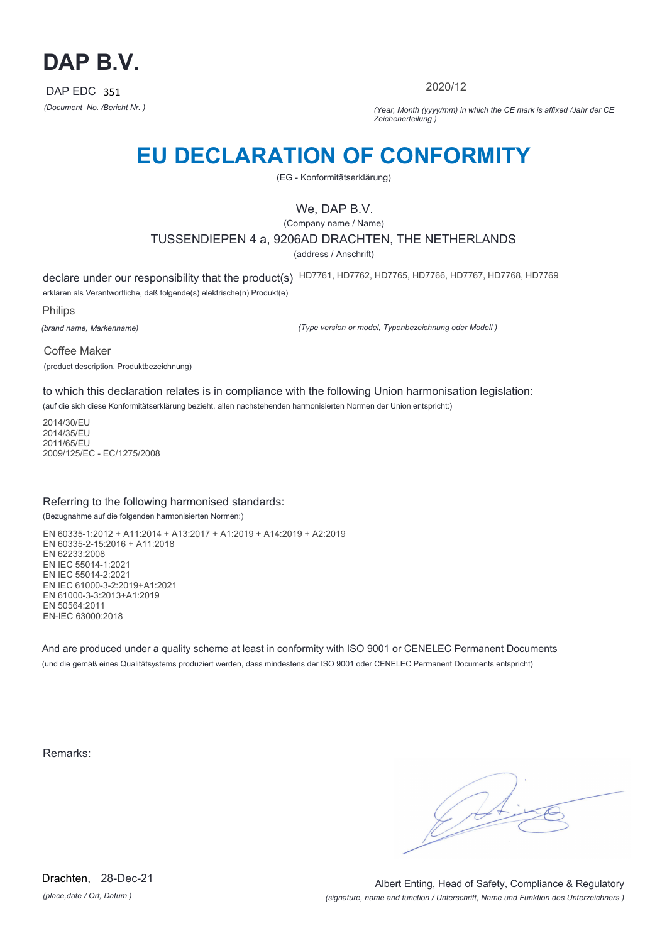

2020/12

*(Document No. /Bericht Nr. ) (Year, Month (yyyy/mm) in which the CE mark is affixed /Jahr der CE Zeichenerteilung )*

# **EU DECLARATION OF CONFORMITY**

(EG - Konformitätserklärung)

## We, DAP B.V.

(Company name / Name) TUSSENDIEPEN 4 a, 9206AD DRACHTEN, THE NETHERLANDS (address / Anschrift)

declare under our responsibility that the product(s) HD7761, HD7762, HD7765, HD7766, HD7767, HD7768, HD7769 erklären als Verantwortliche, daß folgende(s) elektrische(n) Produkt(e)

Philips

*(brand name, Markenname)*

*(Type version or model, Typenbezeichnung oder Modell )*

Coffee Maker (product description, Produktbezeichnung)

to which this declaration relates is in compliance with the following Union harmonisation legislation:

(auf die sich diese Konformitätserklärung bezieht, allen nachstehenden harmonisierten Normen der Union entspricht:)

2014/30/EU 2014/35/EU 2011/65/EU 2009/125/EC - EC/1275/2008

### Referring to the following harmonised standards:

(Bezugnahme auf die folgenden harmonisierten Normen:)

EN 60335-1:2012 + A11:2014 + A13:2017 + A1:2019 + A14:2019 + A2:2019 EN 60335-2-15:2016 + A11:2018 EN 62233:2008 EN IEC 55014-1:2021 EN IEC 55014-2:2021 EN IEC 61000-3-2:2019+A1:2021 EN 61000-3-3:2013+A1:2019 EN 50564:2011 EN-IEC 63000:2018

And are produced under a quality scheme at least in conformity with ISO 9001 or CENELEC Permanent Documents (und die gemäß eines Qualitätsystems produziert werden, dass mindestens der ISO 9001 oder CENELEC Permanent Documents entspricht)

Remarks: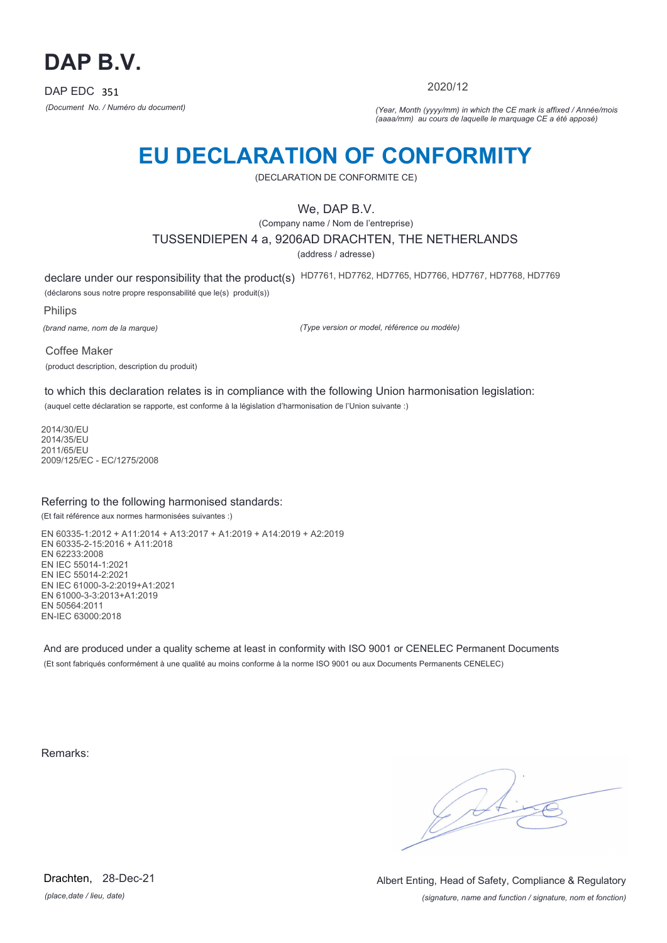

2020/12

*(Document No. / Numéro du document) (Year, Month (yyyy/mm) in which the CE mark is affixed / Année/mois (aaaa/mm) au cours de laquelle le marquage CE a été apposé)*

# **EU DECLARATION OF CONFORMITY**

(DECLARATION DE CONFORMITE CE)

## We, DAP B.V.

(Company name / Nom de l'entreprise)

TUSSENDIEPEN 4 a, 9206AD DRACHTEN, THE NETHERLANDS

(address / adresse)

declare under our responsibility that the product(s) HD7761, HD7762, HD7765, HD7766, HD7767, HD7768, HD7769 (déclarons sous notre propre responsabilité que le(s) produit(s))

Philips

*(brand name, nom de la marque)*

*(Type version or model, référence ou modèle)*

Coffee Maker (product description, description du produit)

to which this declaration relates is in compliance with the following Union harmonisation legislation: (auquel cette déclaration se rapporte, est conforme à la législation d'harmonisation de l'Union suivante :)

2014/30/EU 2014/35/EU 2011/65/EU 2009/125/EC - EC/1275/2008

### Referring to the following harmonised standards:

(Et fait référence aux normes harmonisées suivantes :)

EN 60335-1:2012 + A11:2014 + A13:2017 + A1:2019 + A14:2019 + A2:2019 EN 60335-2-15:2016 + A11:2018 EN 62233:2008 EN IEC 55014-1:2021 EN IEC 55014-2:2021 EN IEC 61000-3-2:2019+A1:2021 EN 61000-3-3:2013+A1:2019 EN 50564:2011 EN-IEC 63000:2018

And are produced under a quality scheme at least in conformity with ISO 9001 or CENELEC Permanent Documents (Et sont fabriqués conformément à une qualité au moins conforme à la norme ISO 9001 ou aux Documents Permanents CENELEC)

Remarks:

*(place,date / lieu, date)* Drachten, 28-Dec-21

*(signature, name and function / signature, nom et fonction)* Albert Enting, Head of Safety, Compliance & Regulatory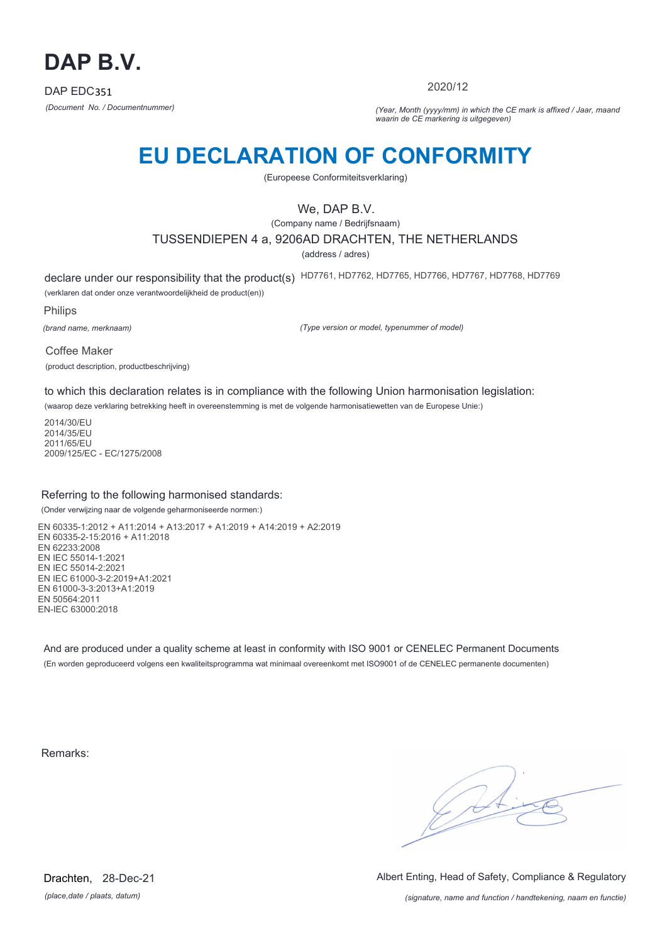

2020/12

*(Document No. / Documentnummer) (Year, Month (yyyy/mm) in which the CE mark is affixed / Jaar, maand waarin de CE markering is uitgegeven)*

# **EU DECLARATION OF CONFORMITY**

(Europeese Conformiteitsverklaring)

## We, DAP B.V.

(Company name / Bedrijfsnaam)

### TUSSENDIEPEN 4 a, 9206AD DRACHTEN, THE NETHERLANDS

(address / adres)

declare under our responsibility that the product(s) HD7761, HD7762, HD7765, HD7766, HD7767, HD7768, HD7769 (verklaren dat onder onze verantwoordelijkheid de product(en))

Philips

*(brand name, merknaam)*

*(Type version or model, typenummer of model)*

Coffee Maker (product description, productbeschrijving)

to which this declaration relates is in compliance with the following Union harmonisation legislation:

(waarop deze verklaring betrekking heeft in overeenstemming is met de volgende harmonisatiewetten van de Europese Unie:)

2014/30/EU 2014/35/EU 2011/65/EU 2009/125/EC - EC/1275/2008

### Referring to the following harmonised standards:

(Onder verwijzing naar de volgende geharmoniseerde normen:)

EN 60335-1:2012 + A11:2014 + A13:2017 + A1:2019 + A14:2019 + A2:2019 EN 60335-2-15:2016 + A11:2018 EN 62233:2008 EN IEC 55014-1:2021 EN IEC 55014-2:2021 EN IEC 61000-3-2:2019+A1:2021 EN 61000-3-3:2013+A1:2019 EN 50564:2011 EN-IEC 63000:2018

And are produced under a quality scheme at least in conformity with ISO 9001 or CENELEC Permanent Documents (En worden geproduceerd volgens een kwaliteitsprogramma wat minimaal overeenkomt met ISO9001 of de CENELEC permanente documenten)

Remarks:

 $\sqrt{11}$ 

*(place,date / plaats, datum)* Drachten, 28-Dec-21 Albert Enting, Head of Safety, Compliance & Regulatory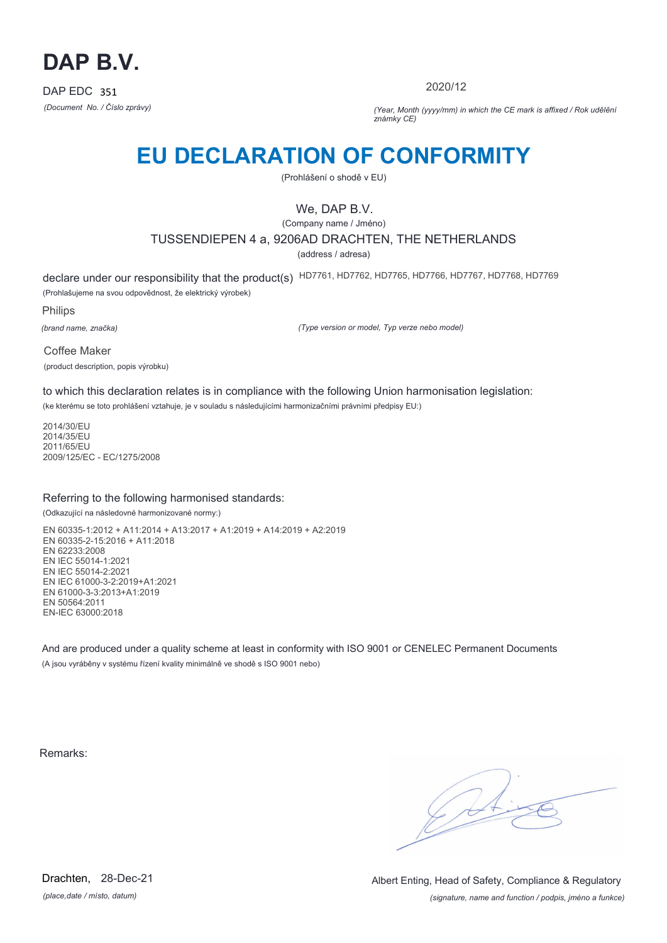

2020/12

*(Document No. / Číslo zprávy) (Year, Month (yyyy/mm) in which the CE mark is affixed / Rok udělění známky CE)*

# **EU DECLARATION OF CONFORMITY**

(Prohlášení o shodě v EU)

## We, DAP B.V.

(Company name / Jméno) TUSSENDIEPEN 4 a, 9206AD DRACHTEN, THE NETHERLANDS

(address / adresa)

declare under our responsibility that the product(s) HD7761, HD7762, HD7765, HD7766, HD7767, HD7768, HD7769 (Prohlašujeme na svou odpovědnost, že elektrický výrobek)

Philips

*(brand name, značka)*

*(Type version or model, Typ verze nebo model)*

Coffee Maker (product description, popis výrobku)

to which this declaration relates is in compliance with the following Union harmonisation legislation:

(ke kterému se toto prohlášení vztahuje, je v souladu s následujícími harmonizačními právními předpisy EU:)

2014/30/EU 2014/35/EU 2011/65/EU 2009/125/EC - EC/1275/2008

### Referring to the following harmonised standards:

(Odkazující na následovné harmonizované normy:)

EN 60335-1:2012 + A11:2014 + A13:2017 + A1:2019 + A14:2019 + A2:2019 EN 60335-2-15:2016 + A11:2018 EN 62233:2008 EN IEC 55014-1:2021 EN IEC 55014-2:2021 EN IEC 61000-3-2:2019+A1:2021 EN 61000-3-3:2013+A1:2019 EN 50564:2011 EN-IEC 63000:2018

And are produced under a quality scheme at least in conformity with ISO 9001 or CENELEC Permanent Documents (A jsou vyráběny v systému řízení kvality minimálně ve shodě s ISO 9001 nebo)

Remarks:

 $\sqrt{1}$ 

*(place,date / místo, datum)* Drachten, 28-Dec-21

*(signature, name and function / podpis, jméno a funkce)* Albert Enting, Head of Safety, Compliance & Regulatory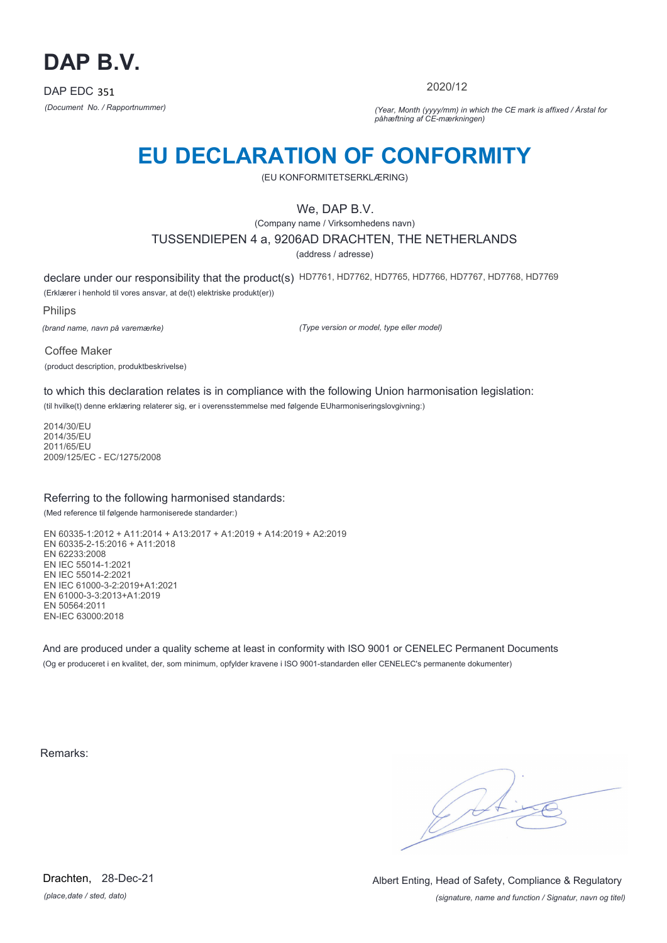

2020/12

*(Document No. / Rapportnummer) (Year, Month (yyyy/mm) in which the CE mark is affixed / Årstal for påhæftning af CE-mærkningen)*

# **EU DECLARATION OF CONFORMITY**

(EU KONFORMITETSERKLÆRING)

## We, DAP B.V.

(Company name / Virksomhedens navn)

## TUSSENDIEPEN 4 a, 9206AD DRACHTEN, THE NETHERLANDS

(address / adresse)

declare under our responsibility that the product(s) HD7761, HD7762, HD7765, HD7766, HD7767, HD7768, HD7769 (Erklærer i henhold til vores ansvar, at de(t) elektriske produkt(er))

Philips

*(brand name, navn på varemærke)*

*(Type version or model, type eller model)*

Coffee Maker (product description, produktbeskrivelse)

to which this declaration relates is in compliance with the following Union harmonisation legislation:

(til hvilke(t) denne erklæring relaterer sig, er i overensstemmelse med følgende EUharmoniseringslovgivning:)

2014/30/EU 2014/35/EU 2011/65/EU 2009/125/EC - EC/1275/2008

### Referring to the following harmonised standards:

(Med reference til følgende harmoniserede standarder:)

EN 60335-1:2012 + A11:2014 + A13:2017 + A1:2019 + A14:2019 + A2:2019 EN 60335-2-15:2016 + A11:2018 EN 62233:2008 EN IEC 55014-1:2021 EN IEC 55014-2:2021 EN IEC 61000-3-2:2019+A1:2021 EN 61000-3-3:2013+A1:2019 EN 50564:2011 EN-IEC 63000:2018

And are produced under a quality scheme at least in conformity with ISO 9001 or CENELEC Permanent Documents (Og er produceret i en kvalitet, der, som minimum, opfylder kravene i ISO 9001-standarden eller CENELEC's permanente dokumenter)

Remarks:

 $\sqrt{11}$ 

*(place,date / sted, dato)* Drachten, 28-Dec-21

*(signature, name and function / Signatur, navn og titel)* Albert Enting, Head of Safety, Compliance & Regulatory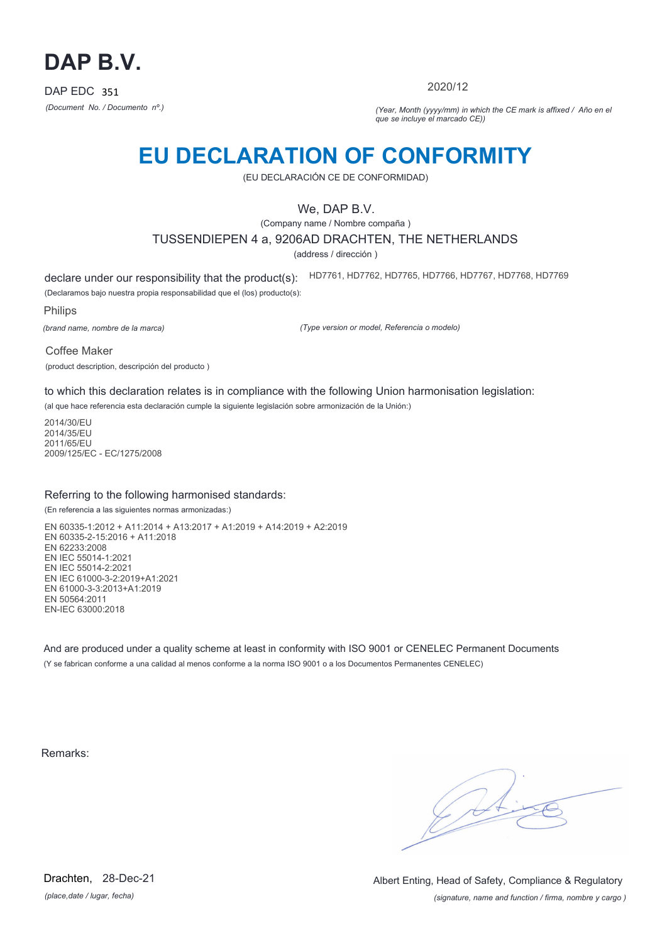

2020/12

*(Document No. / Documento nº.) (Year, Month (yyyy/mm) in which the CE mark is affixed / Año en el que se incluye el marcado CE))*

## **EU DECLARATION OF CONFORMITY**

(EU DECLARACIÓN CE DE CONFORMIDAD)

## We, DAP B.V.

(Company name / Nombre compaña )

### TUSSENDIEPEN 4 a, 9206AD DRACHTEN, THE NETHERLANDS

(address / dirección )

declare under our responsibility that the product(s): (Declaramos bajo nuestra propia responsabilidad que el (los) producto(s): HD7761, HD7762, HD7765, HD7766, HD7767, HD7768, HD7769

Philips

*(brand name, nombre de la marca)*

*(Type version or model, Referencia o modelo)*

Coffee Maker

(product description, descripción del producto )

to which this declaration relates is in compliance with the following Union harmonisation legislation:

(al que hace referencia esta declaración cumple la siguiente legislación sobre armonización de la Unión:)

2014/30/EU 2014/35/EU 2011/65/EU 2009/125/EC - EC/1275/2008

### Referring to the following harmonised standards:

(En referencia a las siguientes normas armonizadas:)

EN 60335-1:2012 + A11:2014 + A13:2017 + A1:2019 + A14:2019 + A2:2019 EN 60335-2-15:2016 + A11:2018 EN 62233:2008 EN IEC 55014-1:2021 EN IEC 55014-2:2021 EN IEC 61000-3-2:2019+A1:2021 EN 61000-3-3:2013+A1:2019 EN 50564:2011 EN-IEC 63000:2018

And are produced under a quality scheme at least in conformity with ISO 9001 or CENELEC Permanent Documents (Y se fabrican conforme a una calidad al menos conforme a la norma ISO 9001 o a los Documentos Permanentes CENELEC)

Remarks:

*(place,date / lugar, fecha)* Drachten, 28-Dec-21

*(signature, name and function / firma, nombre y cargo )* Albert Enting, Head of Safety, Compliance & Regulatory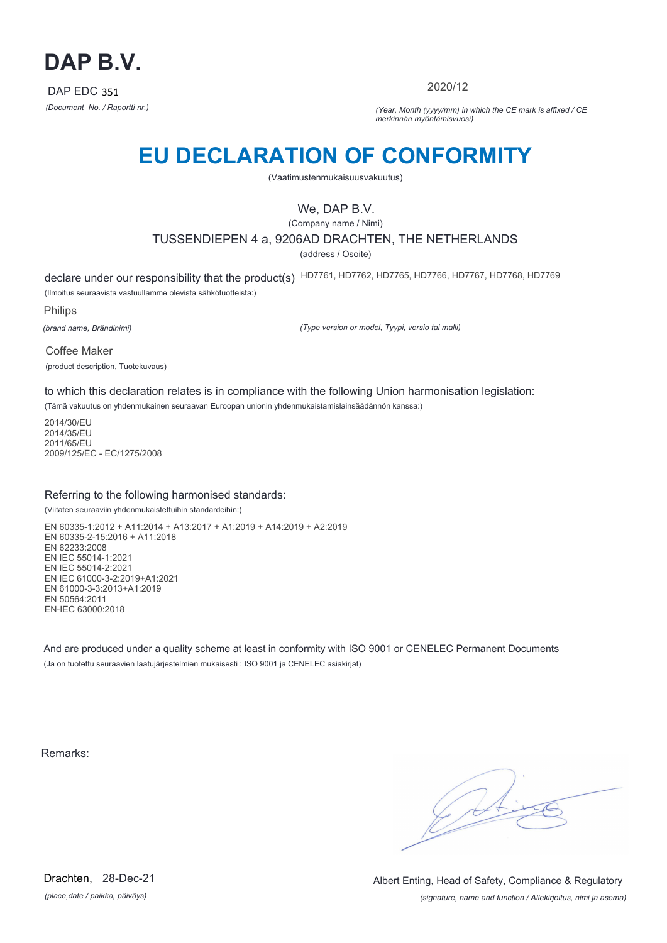

2020/12

*(Document No. / Raportti nr.) (Year, Month (yyyy/mm) in which the CE mark is affixed / CE merkinnän myöntämisvuosi)*

# **EU DECLARATION OF CONFORMITY**

(Vaatimustenmukaisuusvakuutus)

## We, DAP B.V.

(Company name / Nimi)

TUSSENDIEPEN 4 a, 9206AD DRACHTEN, THE NETHERLANDS

(address / Osoite)

declare under our responsibility that the product(s) HD7761, HD7762, HD7765, HD7766, HD7767, HD7768, HD7769 (Ilmoitus seuraavista vastuullamme olevista sähkötuotteista:)

Philips

*(brand name, Brändinimi)*

*(Type version or model, Tyypi, versio tai malli)*

Coffee Maker (product description, Tuotekuvaus)

to which this declaration relates is in compliance with the following Union harmonisation legislation:

(Tämä vakuutus on yhdenmukainen seuraavan Euroopan unionin yhdenmukaistamislainsäädännön kanssa:)

2014/30/EU 2014/35/EU 2011/65/EU 2009/125/EC - EC/1275/2008

### Referring to the following harmonised standards:

(Viitaten seuraaviin yhdenmukaistettuihin standardeihin:)

EN 60335-1:2012 + A11:2014 + A13:2017 + A1:2019 + A14:2019 + A2:2019 EN 60335-2-15:2016 + A11:2018 EN 62233:2008 EN IEC 55014-1:2021 EN IEC 55014-2:2021 EN IEC 61000-3-2:2019+A1:2021 EN 61000-3-3:2013+A1:2019 EN 50564:2011 EN-IEC 63000:2018

And are produced under a quality scheme at least in conformity with ISO 9001 or CENELEC Permanent Documents (Ja on tuotettu seuraavien laatujärjestelmien mukaisesti : ISO 9001 ja CENELEC asiakirjat)

Remarks:

 $\sqrt{4}$ 

*(place,date / paikka, päiväys)* Drachten, 28-Dec-21

*(signature, name and function / Allekirjoitus, nimi ja asema)* Albert Enting, Head of Safety, Compliance & Regulatory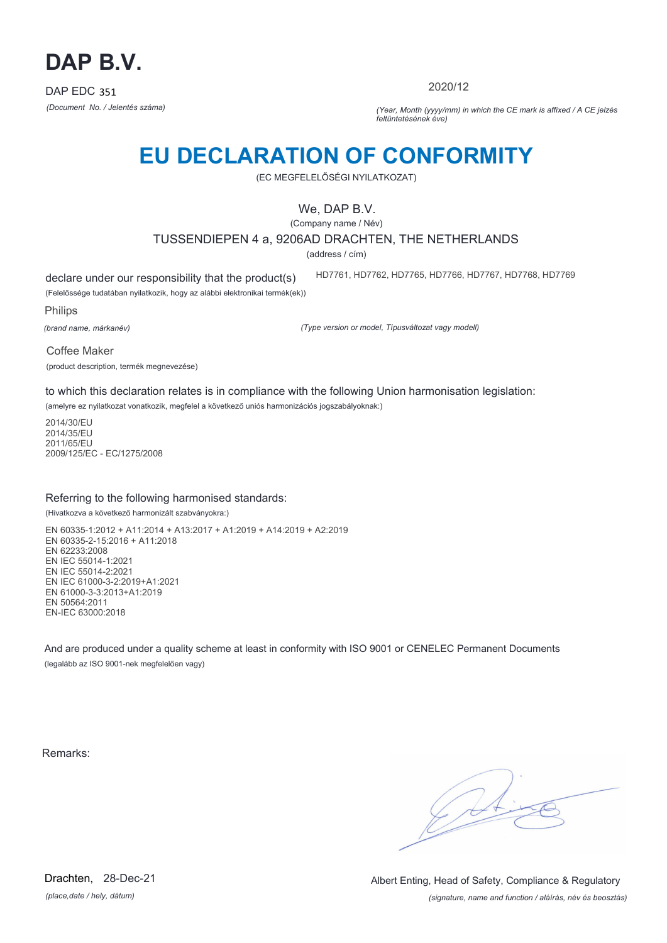

2020/12

HD7761, HD7762, HD7765, HD7766, HD7767, HD7768, HD7769

*(Document No. / Jelentés száma) (Year, Month (yyyy/mm) in which the CE mark is affixed / A CE jelzés feltüntetésének éve)*

# **EU DECLARATION OF CONFORMITY**

(EC MEGFELELŐSÉGI NYILATKOZAT)

## We, DAP B.V.

(Company name / Név)

TUSSENDIEPEN 4 a, 9206AD DRACHTEN, THE NETHERLANDS

(address / cím)

declare under our responsibility that the product(s)

(Felelőssége tudatában nyilatkozik, hogy az alábbi elektronikai termék(ek))

Philips

*(brand name, márkanév)*

*(Type version or model, Típusváltozat vagy modell)*

Coffee Maker

(product description, termék megnevezése)

to which this declaration relates is in compliance with the following Union harmonisation legislation:

(amelyre ez nyilatkozat vonatkozik, megfelel a következő uniós harmonizációs jogszabályoknak:)

2014/30/EU 2014/35/EU 2011/65/EU 2009/125/EC - EC/1275/2008

### Referring to the following harmonised standards:

(Hivatkozva a következő harmonizált szabványokra:)

EN 60335-1:2012 + A11:2014 + A13:2017 + A1:2019 + A14:2019 + A2:2019 EN 60335-2-15:2016 + A11:2018 EN 62233:2008 EN IEC 55014-1:2021 EN IEC 55014-2:2021 EN IEC 61000-3-2:2019+A1:2021 EN 61000-3-3:2013+A1:2019 EN 50564:2011 EN-IEC 63000:2018

And are produced under a quality scheme at least in conformity with ISO 9001 or CENELEC Permanent Documents (legalább az ISO 9001-nek megfelelően vagy)

Remarks:

 $\sqrt{4}$ 

*(place,date / hely, dátum)* Drachten, 28-Dec-21

*(signature, name and function / aláírás, név és beosztás)* Albert Enting, Head of Safety, Compliance & Regulatory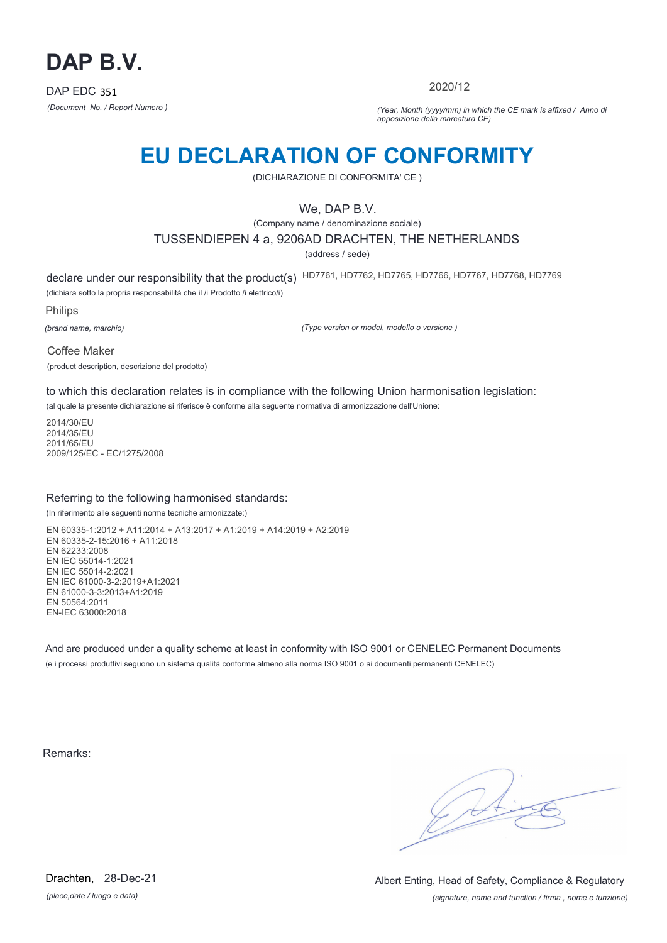

2020/12

*(Document No. / Report Numero ) (Year, Month (yyyy/mm) in which the CE mark is affixed / Anno di apposizione della marcatura CE)*

## **EU DECLARATION OF CONFORMITY**

(DICHIARAZIONE DI CONFORMITA' CE )

## We, DAP B.V.

(Company name / denominazione sociale)

### TUSSENDIEPEN 4 a, 9206AD DRACHTEN, THE NETHERLANDS

(address / sede)

declare under our responsibility that the product(s) HD7761, HD7762, HD7765, HD7766, HD7767, HD7768, HD7769

(dichiara sotto la propria responsabilità che il /i Prodotto /i elettrico/i)

Philips

*(brand name, marchio)*

*(Type version or model, modello o versione )*

Coffee Maker

(product description, descrizione del prodotto)

to which this declaration relates is in compliance with the following Union harmonisation legislation:

(al quale la presente dichiarazione si riferisce è conforme alla seguente normativa di armonizzazione dell'Unione:

2014/30/EU 2014/35/EU 2011/65/EU 2009/125/EC - EC/1275/2008

### Referring to the following harmonised standards:

(In riferimento alle seguenti norme tecniche armonizzate:)

EN 60335-1:2012 + A11:2014 + A13:2017 + A1:2019 + A14:2019 + A2:2019 EN 60335-2-15:2016 + A11:2018 EN 62233:2008 EN IEC 55014-1:2021 EN IEC 55014-2:2021 EN IEC 61000-3-2:2019+A1:2021 EN 61000-3-3:2013+A1:2019 EN 50564:2011 EN-IEC 63000:2018

And are produced under a quality scheme at least in conformity with ISO 9001 or CENELEC Permanent Documents (e i processi produttivi seguono un sistema qualità conforme almeno alla norma ISO 9001 o ai documenti permanenti CENELEC)

Remarks:

 $\sqrt{14}$ 

*(place,date / luogo e data)* Drachten, 28-Dec-21

*(signature, name and function / firma , nome e funzione)* Albert Enting, Head of Safety, Compliance & Regulatory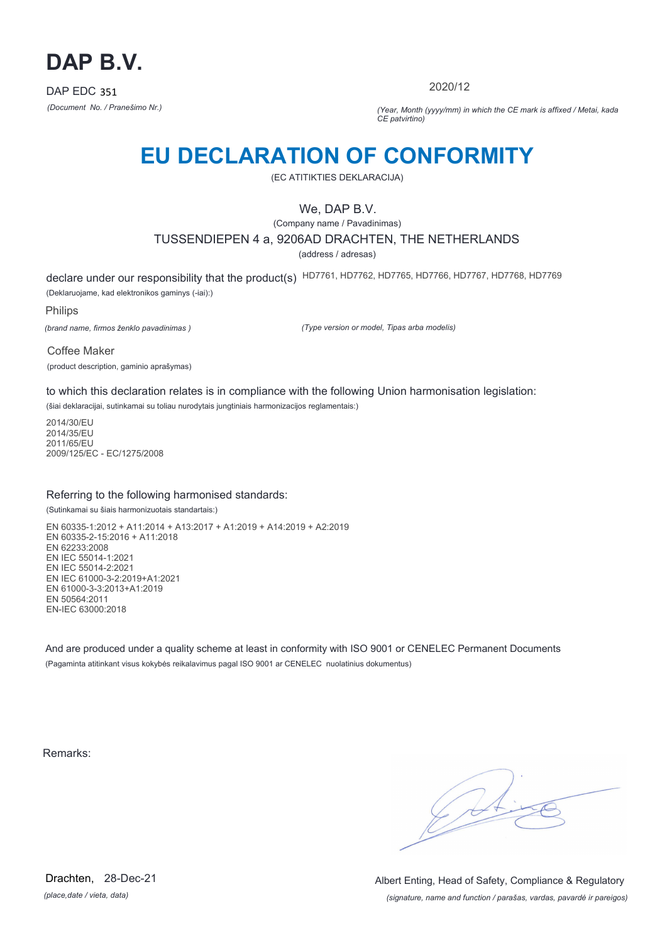

2020/12

*(Document No. / Pranešimo Nr.) (Year, Month (yyyy/mm) in which the CE mark is affixed / Metai, kada CE patvirtino)*

## **EU DECLARATION OF CONFORMITY**

(EC ATITIKTIES DEKLARACIJA)

## We, DAP B.V.

(Company name / Pavadinimas)

TUSSENDIEPEN 4 a, 9206AD DRACHTEN, THE NETHERLANDS

(address / adresas)

declare under our responsibility that the product(s) HD7761, HD7762, HD7765, HD7766, HD7767, HD7768, HD7769 (Deklaruojame, kad elektronikos gaminys (-iai):)

Philips

*(brand name, firmos ženklo pavadinimas )*

*(Type version or model, Tipas arba modelis)*

Coffee Maker

(product description, gaminio aprašymas)

to which this declaration relates is in compliance with the following Union harmonisation legislation:

(šiai deklaracijai, sutinkamai su toliau nurodytais jungtiniais harmonizacijos reglamentais:)

2014/30/EU 2014/35/EU 2011/65/EU 2009/125/EC - EC/1275/2008

### Referring to the following harmonised standards:

(Sutinkamai su šiais harmonizuotais standartais:)

EN 60335-1:2012 + A11:2014 + A13:2017 + A1:2019 + A14:2019 + A2:2019 EN 60335-2-15:2016 + A11:2018 EN 62233:2008 EN IEC 55014-1:2021 EN IEC 55014-2:2021 EN IEC 61000-3-2:2019+A1:2021 EN 61000-3-3:2013+A1:2019 EN 50564:2011 EN-IEC 63000:2018

And are produced under a quality scheme at least in conformity with ISO 9001 or CENELEC Permanent Documents (Pagaminta atitinkant visus kokybės reikalavimus pagal ISO 9001 ar CENELEC nuolatinius dokumentus)

Remarks:

 $\sqrt{1}$ 

*(place,date / vieta, data)* Drachten, 28-Dec-21

*(signature, name and function / parašas, vardas, pavardė ir pareigos)* Albert Enting, Head of Safety, Compliance & Regulatory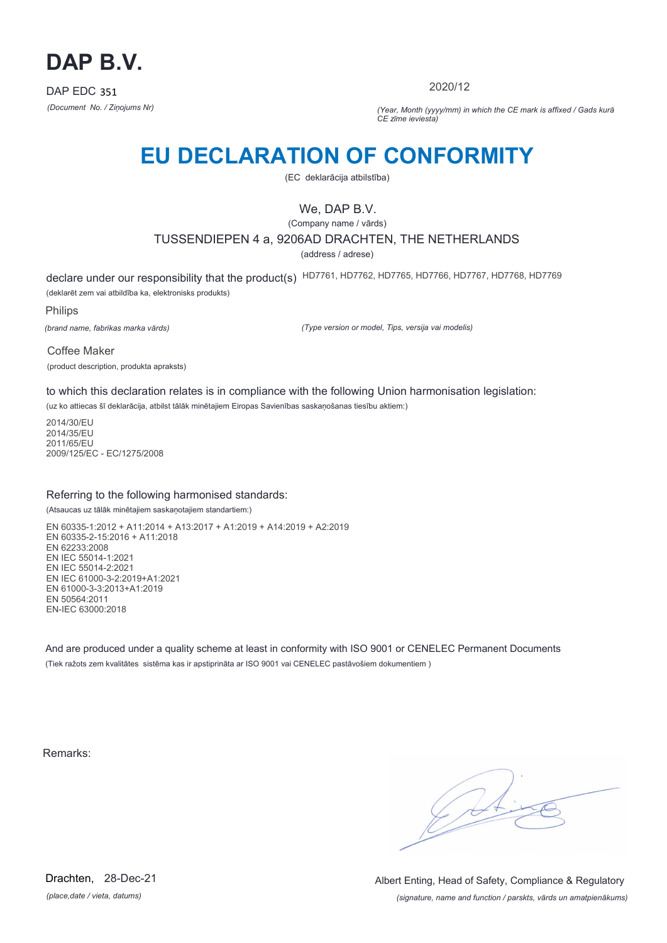

2020/12

*(Document No. / Ziņojums Nr) (Year, Month (yyyy/mm) in which the CE mark is affixed / Gads kurā CE zīme ieviesta)*

## **EU DECLARATION OF CONFORMITY**

(EC deklarācija atbilstība)

## We, DAP B.V.

(Company name / vārds)

### TUSSENDIEPEN 4 a, 9206AD DRACHTEN, THE NETHERLANDS

(address / adrese)

declare under our responsibility that the product(s) HD7761, HD7762, HD7765, HD7766, HD7767, HD7768, HD7769 (deklarēt zem vai atbildība ka, elektronisks produkts)

Philips

*(brand name, fabrikas marka vārds)*

*(Type version or model, Tips, versija vai modelis)*

Coffee Maker (product description, produkta apraksts)

to which this declaration relates is in compliance with the following Union harmonisation legislation:

(uz ko attiecas šī deklarācija, atbilst tālāk minētajiem Eiropas Savienības saskaņošanas tiesību aktiem:)

2014/30/EU 2014/35/EU 2011/65/EU 2009/125/EC - EC/1275/2008

### Referring to the following harmonised standards:

(Atsaucas uz tālāk minētajiem saskaņotajiem standartiem:)

EN 60335-1:2012 + A11:2014 + A13:2017 + A1:2019 + A14:2019 + A2:2019 EN 60335-2-15:2016 + A11:2018 EN 62233:2008 EN IEC 55014-1:2021 EN IEC 55014-2:2021 EN IEC 61000-3-2:2019+A1:2021 EN 61000-3-3:2013+A1:2019 EN 50564:2011 EN-IEC 63000:2018

And are produced under a quality scheme at least in conformity with ISO 9001 or CENELEC Permanent Documents (Tiek ražots zem kvalitātes sistēma kas ir apstiprināta ar ISO 9001 vai CENELEC pastāvošiem dokumentiem )

Remarks:

 $\sqrt{4}$ 

*(place,date / vieta, datums)* Drachten, 28-Dec-21

*(signature, name and function / parskts, vārds un amatpienākums)* Albert Enting, Head of Safety, Compliance & Regulatory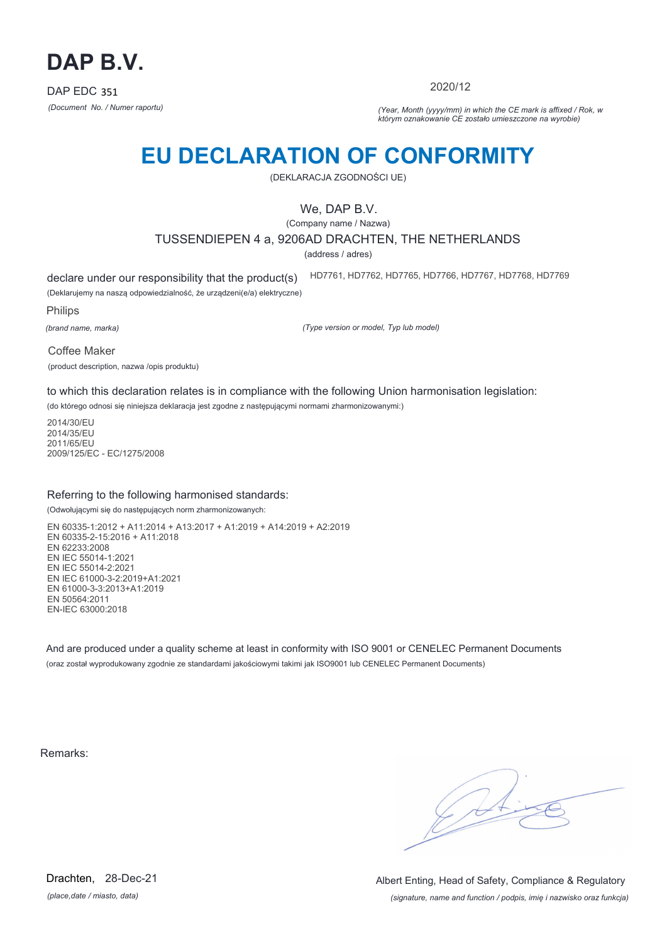

2020/12

*(Document No. / Numer raportu) (Year, Month (yyyy/mm) in which the CE mark is affixed / Rok, w którym oznakowanie CE zostało umieszczone na wyrobie)*

# **EU DECLARATION OF CONFORMITY**

(DEKLARACJA ZGODNOŚCI UE)

## We, DAP B.V.

(Company name / Nazwa)

TUSSENDIEPEN 4 a, 9206AD DRACHTEN, THE NETHERLANDS

(address / adres)

declare under our responsibility that the product(s)

(Deklarujemy na naszą odpowiedzialność, że urządzeni(e/a) elektryczne) HD7761, HD7762, HD7765, HD7766, HD7767, HD7768, HD7769

Philips

*(brand name, marka)*

*(Type version or model, Typ lub model)*

Coffee Maker

(product description, nazwa /opis produktu)

to which this declaration relates is in compliance with the following Union harmonisation legislation:

(do którego odnosi się niniejsza deklaracja jest zgodne z następującymi normami zharmonizowanymi:)

2014/30/EU 2014/35/EU 2011/65/EU 2009/125/EC - EC/1275/2008

### Referring to the following harmonised standards:

(Odwołującymi się do następujących norm zharmonizowanych:

EN 60335-1:2012 + A11:2014 + A13:2017 + A1:2019 + A14:2019 + A2:2019 EN 60335-2-15:2016 + A11:2018 EN 62233:2008 EN IEC 55014-1:2021 EN IEC 55014-2:2021 EN IEC 61000-3-2:2019+A1:2021 EN 61000-3-3:2013+A1:2019 EN 50564:2011 EN-IEC 63000:2018

And are produced under a quality scheme at least in conformity with ISO 9001 or CENELEC Permanent Documents (oraz został wyprodukowany zgodnie ze standardami jakościowymi takimi jak ISO9001 lub CENELEC Permanent Documents)

Remarks:

*(place,date / miasto, data)* Drachten, 28-Dec-21

*(signature, name and function / podpis, imię i nazwisko oraz funkcja)* Albert Enting, Head of Safety, Compliance & Regulatory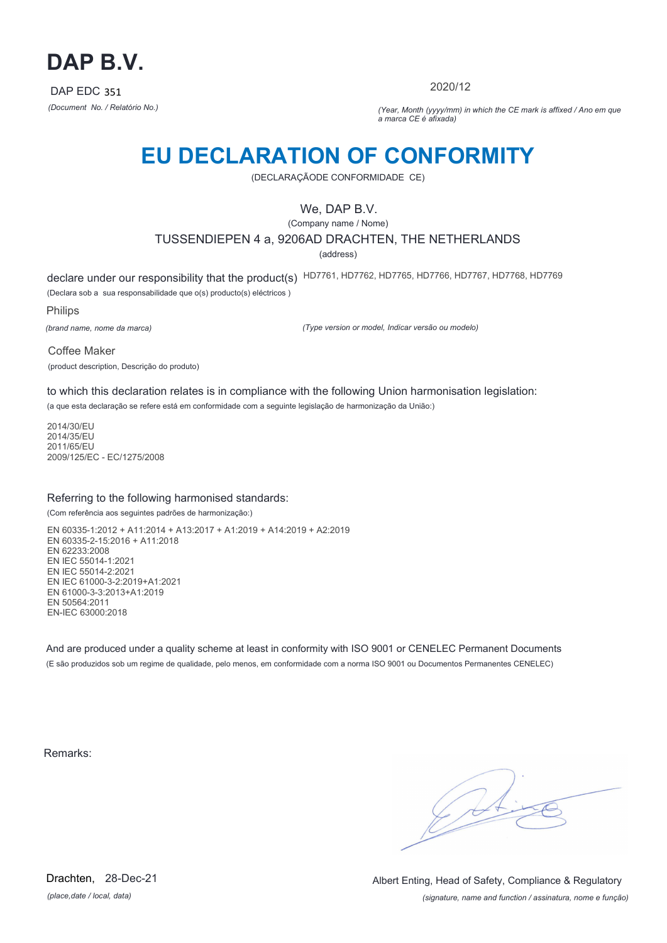

2020/12

*(Document No. / Relatório No.) (Year, Month (yyyy/mm) in which the CE mark is affixed / Ano em que a marca CE é afixada)*

## **EU DECLARATION OF CONFORMITY**

(DECLARAÇÃODE CONFORMIDADE CE)

## We, DAP B.V.

(Company name / Nome)

TUSSENDIEPEN 4 a, 9206AD DRACHTEN, THE NETHERLANDS

(address)

declare under our responsibility that the product(s) HD7761, HD7762, HD7765, HD7766, HD7767, HD7768, HD7769 (Declara sob a sua responsabilidade que o(s) producto(s) eléctricos )

Philips

*(brand name, nome da marca)*

*(Type version or model, Indicar versão ou modelo)*

Coffee Maker (product description, Descrição do produto)

to which this declaration relates is in compliance with the following Union harmonisation legislation:

(a que esta declaração se refere está em conformidade com a seguinte legislação de harmonização da União:)

2014/30/EU 2014/35/EU 2011/65/EU 2009/125/EC - EC/1275/2008

### Referring to the following harmonised standards:

(Com referência aos seguintes padrões de harmonização:)

EN 60335-1:2012 + A11:2014 + A13:2017 + A1:2019 + A14:2019 + A2:2019 EN 60335-2-15:2016 + A11:2018 EN 62233:2008 EN IEC 55014-1:2021 EN IEC 55014-2:2021 EN IEC 61000-3-2:2019+A1:2021 EN 61000-3-3:2013+A1:2019 EN 50564:2011 EN-IEC 63000:2018

And are produced under a quality scheme at least in conformity with ISO 9001 or CENELEC Permanent Documents (E são produzidos sob um regime de qualidade, pelo menos, em conformidade com a norma ISO 9001 ou Documentos Permanentes CENELEC)

Remarks:

 $\sqrt{14}$ 

*(place,date / local, data)* Drachten, 28-Dec-21

*(signature, name and function / assinatura, nome e função)* Albert Enting, Head of Safety, Compliance & Regulatory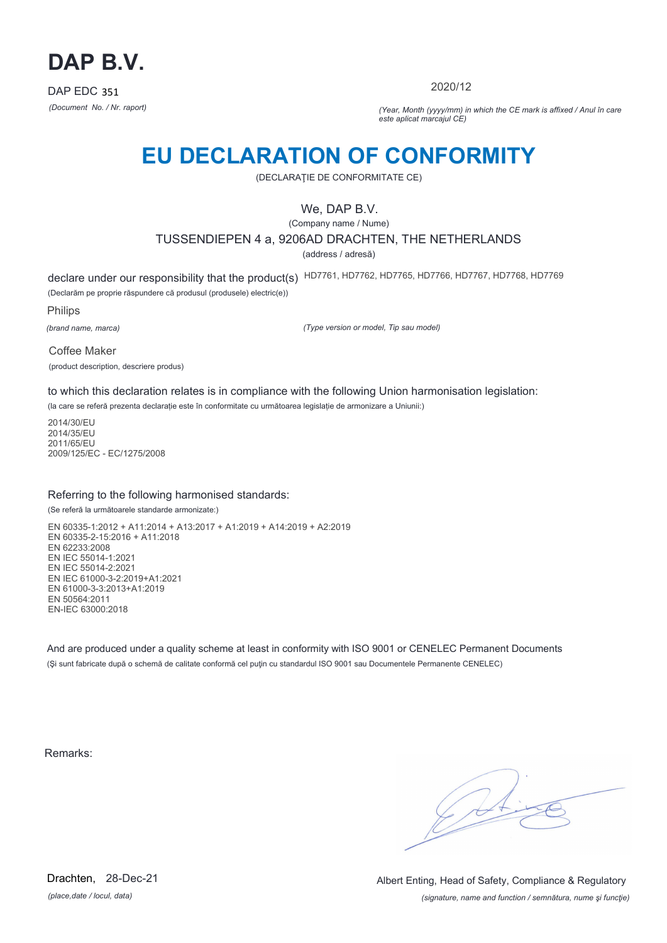

2020/12

*(Document No. / Nr. raport) (Year, Month (yyyy/mm) in which the CE mark is affixed / Anul în care este aplicat marcajul CE)*

## **EU DECLARATION OF CONFORMITY**

(DECLARAŢIE DE CONFORMITATE CE)

## We, DAP B.V.

(Company name / Nume)

TUSSENDIEPEN 4 a, 9206AD DRACHTEN, THE NETHERLANDS

(address / adresă)

declare under our responsibility that the product(s) HD7761, HD7762, HD7765, HD7766, HD7767, HD7768, HD7769 (Declarăm pe proprie răspundere că produsul (produsele) electric(e))

Philips

*(brand name, marca)*

*(Type version or model, Tip sau model)*

Coffee Maker

(product description, descriere produs)

to which this declaration relates is in compliance with the following Union harmonisation legislation:

(la care se referă prezenta declarație este în conformitate cu următoarea legislație de armonizare a Uniunii:)

2014/30/EU 2014/35/EU 2011/65/EU 2009/125/EC - EC/1275/2008

### Referring to the following harmonised standards:

(Se referă la următoarele standarde armonizate:)

EN 60335-1:2012 + A11:2014 + A13:2017 + A1:2019 + A14:2019 + A2:2019 EN 60335-2-15:2016 + A11:2018 EN 62233:2008 EN IEC 55014-1:2021 EN IEC 55014-2:2021 EN IEC 61000-3-2:2019+A1:2021 EN 61000-3-3:2013+A1:2019 EN 50564:2011 EN-IEC 63000:2018

And are produced under a quality scheme at least in conformity with ISO 9001 or CENELEC Permanent Documents (Şi sunt fabricate după o schemă de calitate conformă cel puţin cu standardul ISO 9001 sau Documentele Permanente CENELEC)

Remarks:

*(place,date / locul, data)* Drachten, 28-Dec-21

*(signature, name and function / semnătura, nume şi funcţie)* Albert Enting, Head of Safety, Compliance & Regulatory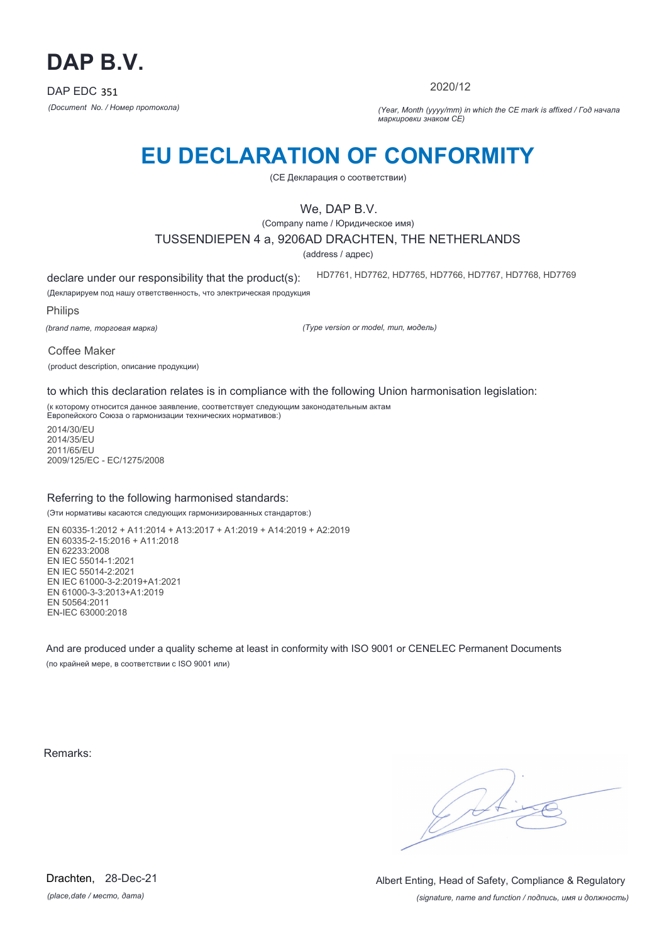

2020/12

*(Document No. / Номер протокола) (Year, Month (yyyy/mm) in which the CE mark is affixed / Год начала маркировки знаком CE)*

# **EU DECLARATION OF CONFORMITY**

(CE Декларация о соответствии)

## We, DAP B.V.

(Company name / Юридическое имя)

### TUSSENDIEPEN 4 a, 9206AD DRACHTEN, THE NETHERLANDS

(address / адрес)

declare under our responsibility that the product(s): HD7761, HD7762, HD7765, HD7766, HD7767, HD7768, HD7769

(Декларируем под нашу ответственность, что электрическая продукция

Philips

*(brand name, торговая марка)*

*(Type version or model, тип, модель)*

Coffee Maker

(product description, описание продукции)

to which this declaration relates is in compliance with the following Union harmonisation legislation:

(к которому относится данное заявление, соответствует следующим законодательным актам Европейского Союза о гармонизации технических нормативов:)

2014/30/EU 2014/35/EU 2011/65/EU 2009/125/EC - EC/1275/2008

### Referring to the following harmonised standards:

(Эти нормативы касаются следующих гармонизированных стандартов:)

EN 60335-1:2012 + A11:2014 + A13:2017 + A1:2019 + A14:2019 + A2:2019 EN 60335-2-15:2016 + A11:2018 EN 62233:2008 EN IEC 55014-1:2021 EN IEC 55014-2:2021 EN IEC 61000-3-2:2019+A1:2021 EN 61000-3-3:2013+A1:2019 EN 50564:2011 EN-IEC 63000:2018

And are produced under a quality scheme at least in conformity with ISO 9001 or CENELEC Permanent Documents (по крайней мере, в соответствии с ISO 9001 или)

Remarks:

 $\sqrt{11}$ 

*(signature, name and function / подпись, имя и должность)* Albert Enting, Head of Safety, Compliance & Regulatory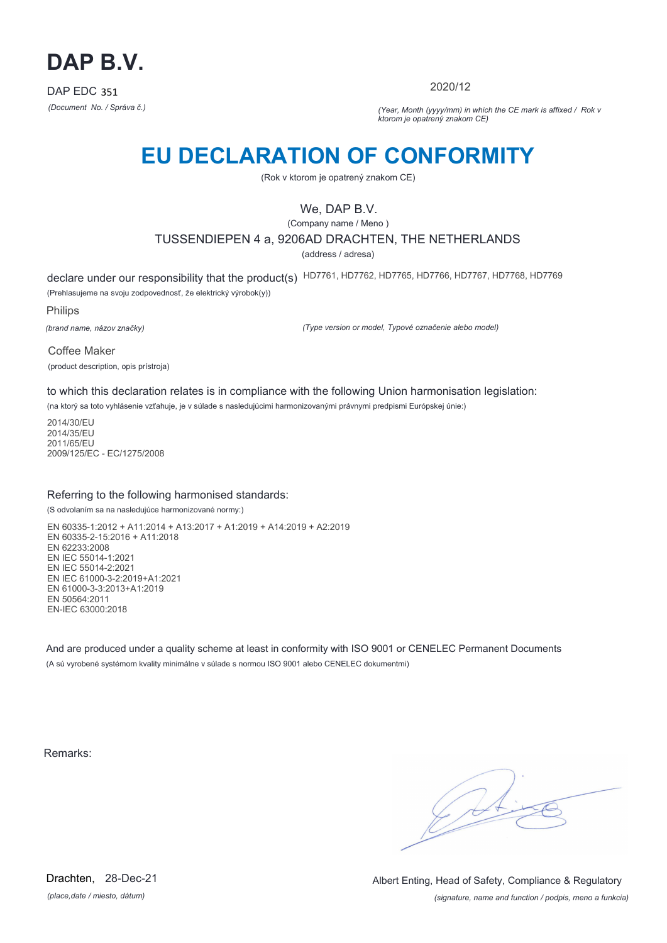

2020/12

*(Document No. / Správa č.) (Year, Month (yyyy/mm) in which the CE mark is affixed / Rok v ktorom je opatrený znakom CE)*

## **EU DECLARATION OF CONFORMITY**

(Rok v ktorom je opatrený znakom CE)

## We, DAP B.V.

(Company name / Meno )

TUSSENDIEPEN 4 a, 9206AD DRACHTEN, THE NETHERLANDS

(address / adresa)

declare under our responsibility that the product(s) HD7761, HD7762, HD7765, HD7766, HD7767, HD7768, HD7769 (Prehlasujeme na svoju zodpovednosť, že elektrický výrobok(y))

Philips

*(brand name, názov značky)*

*(Type version or model, Typové označenie alebo model)*

Coffee Maker (product description, opis prístroja)

to which this declaration relates is in compliance with the following Union harmonisation legislation:

(na ktorý sa toto vyhlásenie vzťahuje, je v súlade s nasledujúcimi harmonizovanými právnymi predpismi Európskej únie:)

2014/30/EU 2014/35/EU 2011/65/EU 2009/125/EC - EC/1275/2008

### Referring to the following harmonised standards:

(S odvolaním sa na nasledujúce harmonizované normy:)

EN 60335-1:2012 + A11:2014 + A13:2017 + A1:2019 + A14:2019 + A2:2019 EN 60335-2-15:2016 + A11:2018 EN 62233:2008 EN IEC 55014-1:2021 EN IEC 55014-2:2021 EN IEC 61000-3-2:2019+A1:2021 EN 61000-3-3:2013+A1:2019 EN 50564:2011 EN-IEC 63000:2018

And are produced under a quality scheme at least in conformity with ISO 9001 or CENELEC Permanent Documents (A sú vyrobené systémom kvality minimálne v súlade s normou ISO 9001 alebo CENELEC dokumentmi)

Remarks:

 $\sqrt{14}$ 

*(place,date / miesto, dátum)* Drachten, 28-Dec-21

*(signature, name and function / podpis, meno a funkcia)* Albert Enting, Head of Safety, Compliance & Regulatory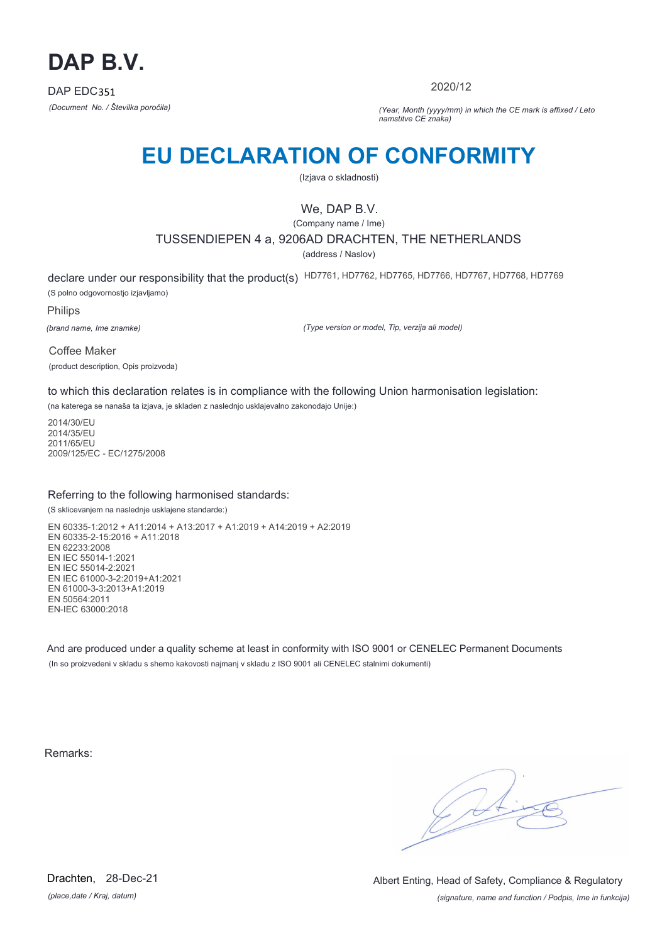

2020/12

*(Document No. / Številka poročila) (Year, Month (yyyy/mm) in which the CE mark is affixed / Leto namstitve CE znaka)*

# **EU DECLARATION OF CONFORMITY**

(Izjava o skladnosti)

## We, DAP B.V.

(Company name / Ime)

### TUSSENDIEPEN 4 a, 9206AD DRACHTEN, THE NETHERLANDS

(address / Naslov)

declare under our responsibility that the product(s) HD7761, HD7762, HD7765, HD7766, HD7767, HD7768, HD7769 (S polno odgovornostjo izjavljamo)

Philips

*(brand name, Ime znamke)*

*(Type version or model, Tip, verzija ali model)*

Coffee Maker (product description, Opis proizvoda)

to which this declaration relates is in compliance with the following Union harmonisation legislation:

(na katerega se nanaša ta izjava, je skladen z naslednjo usklajevalno zakonodajo Unije:)

2014/30/EU 2014/35/EU 2011/65/EU 2009/125/EC - EC/1275/2008

### Referring to the following harmonised standards:

(S sklicevanjem na naslednje usklajene standarde:)

EN 60335-1:2012 + A11:2014 + A13:2017 + A1:2019 + A14:2019 + A2:2019 EN 60335-2-15:2016 + A11:2018 EN 62233:2008 EN IEC 55014-1:2021 EN IEC 55014-2:2021 EN IEC 61000-3-2:2019+A1:2021 EN 61000-3-3:2013+A1:2019 EN 50564:2011 EN-IEC 63000:2018

And are produced under a quality scheme at least in conformity with ISO 9001 or CENELEC Permanent Documents (In so proizvedeni v skladu s shemo kakovosti najmanj v skladu z ISO 9001 ali CENELEC stalnimi dokumenti)

Remarks:

 $\sqrt{11}$ 

*(place,date / Kraj, datum)* Drachten, 28-Dec-21

*(signature, name and function / Podpis, Ime in funkcija)* Albert Enting, Head of Safety, Compliance & Regulatory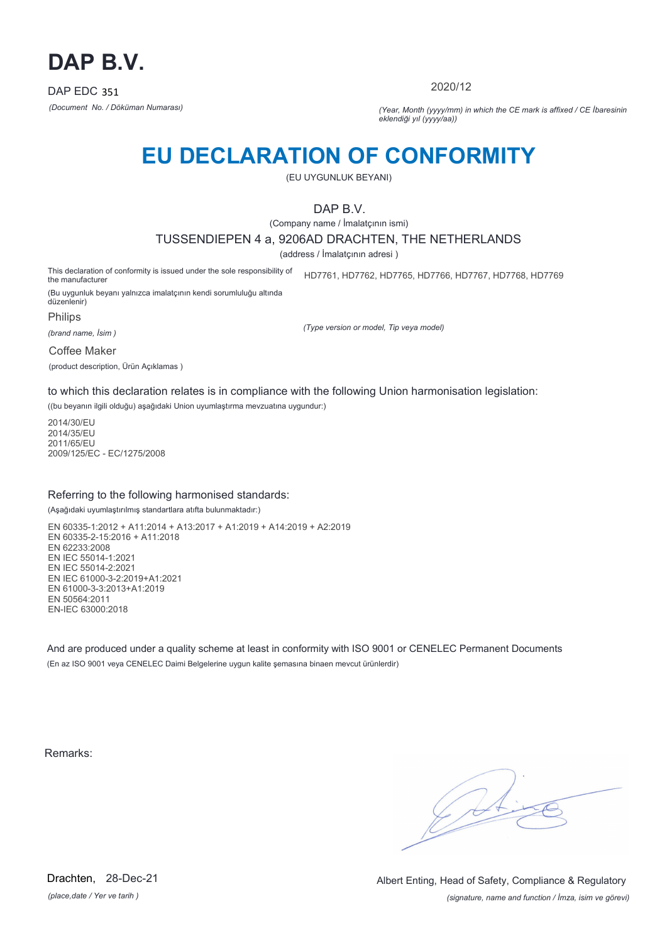

2020/12

*(Document No. / Döküman Numarası) (Year, Month (yyyy/mm) in which the CE mark is affixed / CE İbaresinin eklendiği yıl (yyyy/aa))*

# **EU DECLARATION OF CONFORMITY**

(EU UYGUNLUK BEYANI)

DAP B.V.

(Company name / İmalatçının ismi)

TUSSENDIEPEN 4 a, 9206AD DRACHTEN, THE NETHERLANDS

(address / İmalatçının adresi )

This declaration of conformity is issued under the sole responsibility of the manufacturer HD7761, HD7762, HD7765, HD7766, HD7767, HD7768, HD7769

(Bu uygunluk beyanı yalnızca imalatçının kendi sorumluluğu altında düzenlenir)

Philips

*(brand name, İsim )*

*(Type version or model, Tip veya model)*

Coffee Maker

(product description, Ürün Açıklamas )

to which this declaration relates is in compliance with the following Union harmonisation legislation:

((bu beyanın ilgili olduğu) aşağıdaki Union uyumlaştırma mevzuatına uygundur:)

2014/30/EU 2014/35/EU 2011/65/EU 2009/125/EC - EC/1275/2008

### Referring to the following harmonised standards:

(Aşağıdaki uyumlaştırılmış standartlara atıfta bulunmaktadır:)

EN 60335-1:2012 + A11:2014 + A13:2017 + A1:2019 + A14:2019 + A2:2019 EN 60335-2-15:2016 + A11:2018 EN 62233:2008 EN IEC 55014-1:2021 EN IEC 55014-2:2021 EN IEC 61000-3-2:2019+A1:2021 EN 61000-3-3:2013+A1:2019 EN 50564:2011 EN-IEC 63000:2018

And are produced under a quality scheme at least in conformity with ISO 9001 or CENELEC Permanent Documents (En az ISO 9001 veya CENELEC Daimi Belgelerine uygun kalite şemasına binaen mevcut ürünlerdir)

Remarks:

*(place,date / Yer ve tarih )* Drachten, 28-Dec-21

*(signature, name and function / İmza, isim ve görevi)* Albert Enting, Head of Safety, Compliance & Regulatory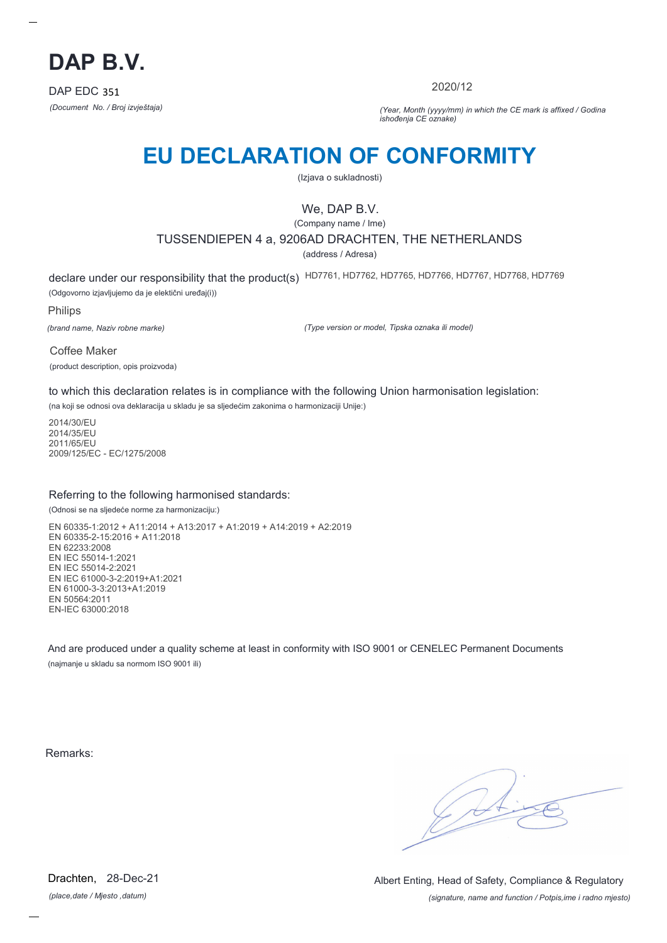

2020/12

*(Document No. / Broj izvještaja) (Year, Month (yyyy/mm) in which the CE mark is affixed / Godina ishođenja CE oznake)*

# **EU DECLARATION OF CONFORMITY**

(Izjava o sukladnosti)

## We, DAP B.V.

(Company name / Ime)

TUSSENDIEPEN 4 a, 9206AD DRACHTEN, THE NETHERLANDS

(address / Adresa)

declare under our responsibility that the product(s) HD7761, HD7762, HD7765, HD7766, HD7767, HD7768, HD7769 (Odgovorno izjavljujemo da je elektični uređaj(i))

Philips

*(brand name, Naziv robne marke)*

*(Type version or model, Tipska oznaka ili model)*

Coffee Maker (product description, opis proizvoda)

to which this declaration relates is in compliance with the following Union harmonisation legislation:

(na koji se odnosi ova deklaracija u skladu je sa sljedećim zakonima o harmonizaciji Unije:)

2014/30/EU 2014/35/EU 2011/65/EU 2009/125/EC - EC/1275/2008

### Referring to the following harmonised standards:

(Odnosi se na sljedeće norme za harmonizaciju:)

EN 60335-1:2012 + A11:2014 + A13:2017 + A1:2019 + A14:2019 + A2:2019 EN 60335-2-15:2016 + A11:2018 EN 62233:2008 EN IEC 55014-1:2021 EN IEC 55014-2:2021 EN IEC 61000-3-2:2019+A1:2021 EN 61000-3-3:2013+A1:2019 EN 50564:2011 EN-IEC 63000:2018

And are produced under a quality scheme at least in conformity with ISO 9001 or CENELEC Permanent Documents (najmanje u skladu sa normom ISO 9001 ili)

Remarks:

*(place,date / Mjesto ,datum)* Drachten, 28-Dec-21

*(signature, name and function / Potpis,ime i radno mjesto)* Albert Enting, Head of Safety, Compliance & Regulatory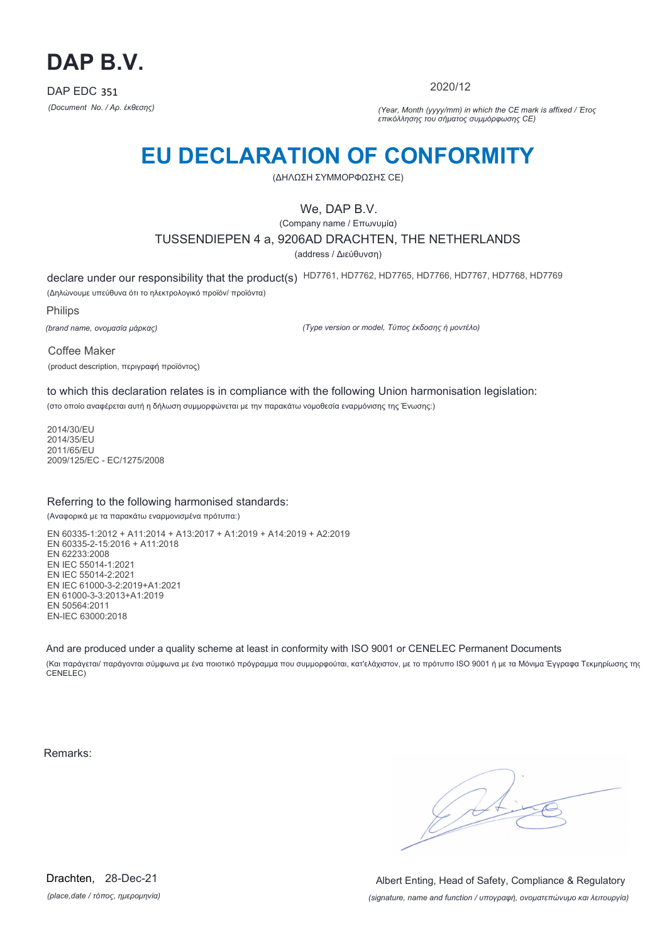

2020/12

*(Document No. / Αρ. έκθεσης) (Year, Month (yyyy/mm) in which the CE mark is affixed / Έτος επικόλλησης του σήματος συμμόρφωσης CE)*

# **EU DECLARATION OF CONFORMITY**

(ΔΗΛΩΣΗ ΣΥΜΜΟΡΦΩΣΗΣ CE)

## We, DAP B.V.

(Company name / Επωνυμία) TUSSENDIEPEN 4 a, 9206AD DRACHTEN, THE NETHERLANDS (address / Διεύθυνση)

declare under our responsibility that the product(s) HD7761, HD7762, HD7765, HD7766, HD7767, HD7768, HD7769 (Δηλώνουμε υπεύθυνα ότι το ηλεκτρολογικό προϊόν/ προϊόντα)

Philips

*(brand name, ονομασία μάρκας)*

*(Type version or model, Τύπος έκδοσης ή μοντέλο)*

Coffee Maker (product description, περιγραφή προϊόντος)

to which this declaration relates is in compliance with the following Union harmonisation legislation:

(στο οποίο αναφέρεται αυτή η δήλωση συμμορφώνεται με την παρακάτω νομοθεσία εναρμόνισης της Ένωσης:)

2014/30/EU 2014/35/EU 2011/65/EU 2009/125/EC - EC/1275/2008

### Referring to the following harmonised standards:

(Αναφορικά με τα παρακάτω εναρμονισμένα πρότυπα:)

EN 60335-1:2012 + A11:2014 + A13:2017 + A1:2019 + A14:2019 + A2:2019 EN 60335-2-15:2016 + A11:2018 EN 62233:2008 EN IEC 55014-1:2021 EN IEC 55014-2:2021 EN IEC 61000-3-2:2019+A1:2021 EN 61000-3-3:2013+A1:2019 EN 50564:2011 EN-IEC 63000:2018

And are produced under a quality scheme at least in conformity with ISO 9001 or CENELEC Permanent Documents

(Και παράγεται/ παράγονται σύμφωνα με ένα ποιοτικό πρόγραμμα που συμμορφούται, κατ'ελάχιστον, με το πρότυπο ISO 9001 ή με τα Μόνιμα Έγγραφα Τεκμηρίωσης της CENELEC)

Remarks:

 $\sqrt{4}$ 

*(place,date / τόπος, ημερομηνία)* Drachten, 28-Dec-21

*(signature, name and function / υπογραφή, ονοματεπώνυμο και λειτουργία)* Albert Enting, Head of Safety, Compliance & Regulatory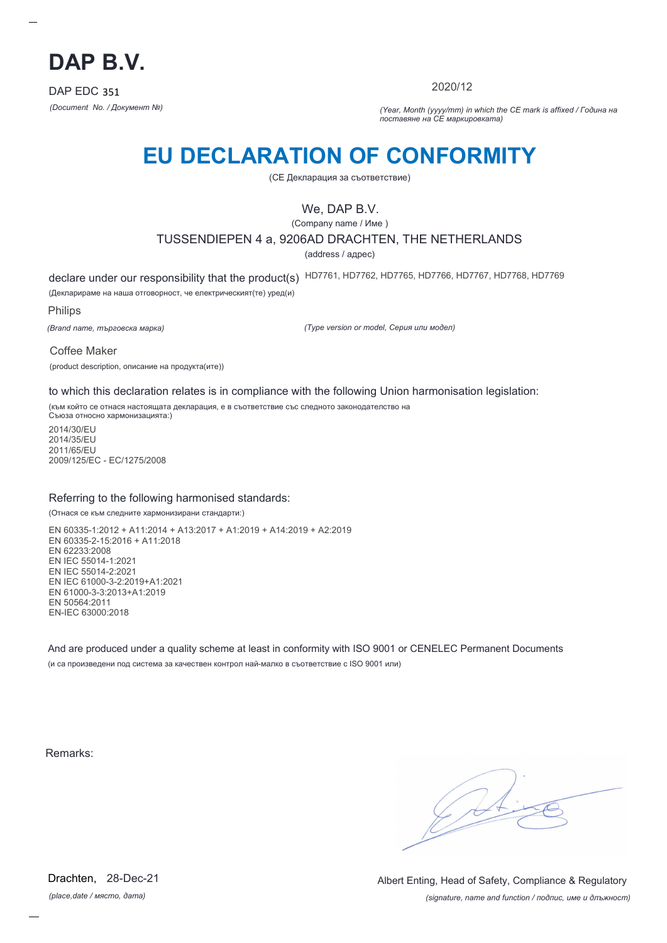

2020/12

*(Document No. / Документ №) (Year, Month (yyyy/mm) in which the CE mark is affixed / Година на поставяне на CE маркировката)*

# **EU DECLARATION OF CONFORMITY**

(CE Декларация за съответствие)

## We, DAP B.V.

(Company name / Име )

### TUSSENDIEPEN 4 a, 9206AD DRACHTEN, THE NETHERLANDS

(address / адрес)

declare under our responsibility that the product(s) HD7761, HD7762, HD7765, HD7766, HD7767, HD7768, HD7769

(Декларираме на наша отговорност, че електрическият(те) уред(и)

Philips

*(Brand name, търговска марка)*

*(Type version or model, Серия или модел)*

Coffee Maker

(product description, описание на продукта(ите))

to which this declaration relates is in compliance with the following Union harmonisation legislation:

(към който се отнася настоящата декларация, е в съответствие със следното законодателство на Съюза относно хармонизацията:)

2014/30/EU 2014/35/EU 2011/65/EU 2009/125/EC - EC/1275/2008

### Referring to the following harmonised standards:

(Отнася се към следните хармонизирани стандарти:)

EN 60335-1:2012 + A11:2014 + A13:2017 + A1:2019 + A14:2019 + A2:2019 EN 60335-2-15:2016 + A11:2018 EN 62233:2008 EN IEC 55014-1:2021 EN IEC 55014-2:2021 EN IEC 61000-3-2:2019+A1:2021 EN 61000-3-3:2013+A1:2019 EN 50564:2011 EN-IEC 63000:2018

And are produced under a quality scheme at least in conformity with ISO 9001 or CENELEC Permanent Documents (и са произведени под система за качествен контрол най-малко в съответствие с ISO 9001 или)

Remarks:

*(place,date / място, дата)* Drachten, 28-Dec-21

*(signature, name and function / подпис, име и длъжност)* Albert Enting, Head of Safety, Compliance & Regulatory